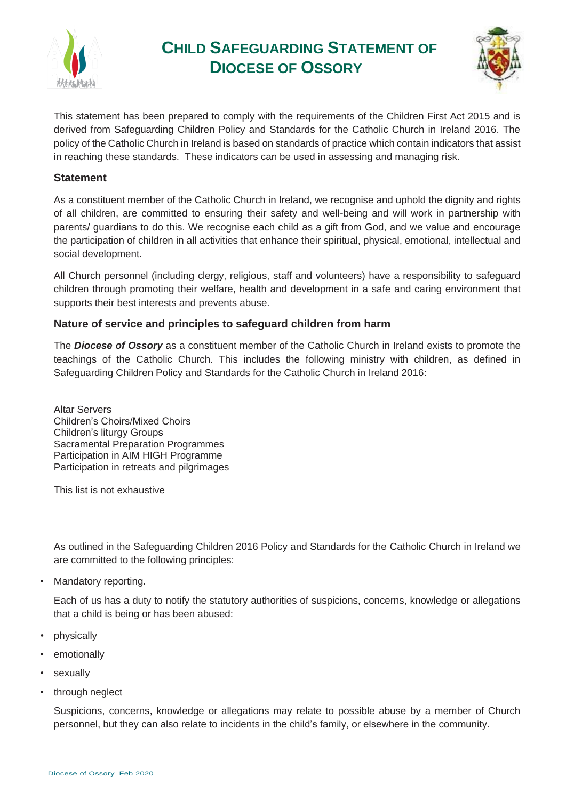

# **CHILD SAFEGUARDING STATEMENT OF DIOCESE OF OSSORY**



This statement has been prepared to comply with the requirements of the Children First Act 2015 and is derived from Safeguarding Children Policy and Standards for the Catholic Church in Ireland 2016. The policy of the Catholic Church in Ireland is based on standards of practice which contain indicators that assist in reaching these standards. These indicators can be used in assessing and managing risk.

## **Statement**

As a constituent member of the Catholic Church in Ireland, we recognise and uphold the dignity and rights of all children, are committed to ensuring their safety and well-being and will work in partnership with parents/ guardians to do this. We recognise each child as a gift from God, and we value and encourage the participation of children in all activities that enhance their spiritual, physical, emotional, intellectual and social development.

All Church personnel (including clergy, religious, staff and volunteers) have a responsibility to safeguard children through promoting their welfare, health and development in a safe and caring environment that supports their best interests and prevents abuse.

# **Nature of service and principles to safeguard children from harm**

The *Diocese of Ossory* as a constituent member of the Catholic Church in Ireland exists to promote the teachings of the Catholic Church. This includes the following ministry with children, as defined in Safeguarding Children Policy and Standards for the Catholic Church in Ireland 2016:

Altar Servers Children's Choirs/Mixed Choirs Children's liturgy Groups Sacramental Preparation Programmes Participation in AIM HIGH Programme Participation in retreats and pilgrimages

This list is not exhaustive

As outlined in the Safeguarding Children 2016 Policy and Standards for the Catholic Church in Ireland we are committed to the following principles:

• Mandatory reporting.

Each of us has a duty to notify the statutory authorities of suspicions, concerns, knowledge or allegations that a child is being or has been abused:

- physically
- emotionally
- **sexually**
- through neglect

Suspicions, concerns, knowledge or allegations may relate to possible abuse by a member of Church personnel, but they can also relate to incidents in the child's family, or elsewhere in the community.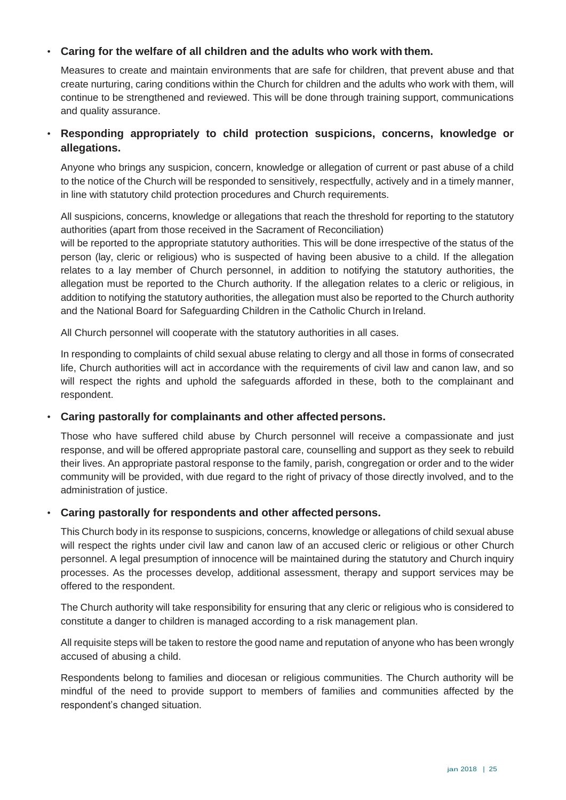#### • **Caring for the welfare of all children and the adults who work with them.**

Measures to create and maintain environments that are safe for children, that prevent abuse and that create nurturing, caring conditions within the Church for children and the adults who work with them, will continue to be strengthened and reviewed. This will be done through training support, communications and quality assurance.

# • **Responding appropriately to child protection suspicions, concerns, knowledge or allegations.**

Anyone who brings any suspicion, concern, knowledge or allegation of current or past abuse of a child to the notice of the Church will be responded to sensitively, respectfully, actively and in a timely manner, in line with statutory child protection procedures and Church requirements.

All suspicions, concerns, knowledge or allegations that reach the threshold for reporting to the statutory authorities (apart from those received in the Sacrament of Reconciliation)

will be reported to the appropriate statutory authorities. This will be done irrespective of the status of the person (lay, cleric or religious) who is suspected of having been abusive to a child. If the allegation relates to a lay member of Church personnel, in addition to notifying the statutory authorities, the allegation must be reported to the Church authority. If the allegation relates to a cleric or religious, in addition to notifying the statutory authorities, the allegation must also be reported to the Church authority and the National Board for Safeguarding Children in the Catholic Church in Ireland.

All Church personnel will cooperate with the statutory authorities in all cases.

In responding to complaints of child sexual abuse relating to clergy and all those in forms of consecrated life, Church authorities will act in accordance with the requirements of civil law and canon law, and so will respect the rights and uphold the safeguards afforded in these, both to the complainant and respondent.

#### • **Caring pastorally for complainants and other affected persons.**

Those who have suffered child abuse by Church personnel will receive a compassionate and just response, and will be offered appropriate pastoral care, counselling and support as they seek to rebuild their lives. An appropriate pastoral response to the family, parish, congregation or order and to the wider community will be provided, with due regard to the right of privacy of those directly involved, and to the administration of justice.

#### • **Caring pastorally for respondents and other affectedpersons.**

This Church body in its response to suspicions, concerns, knowledge or allegations of child sexual abuse will respect the rights under civil law and canon law of an accused cleric or religious or other Church personnel. A legal presumption of innocence will be maintained during the statutory and Church inquiry processes. As the processes develop, additional assessment, therapy and support services may be offered to the respondent.

The Church authority will take responsibility for ensuring that any cleric or religious who is considered to constitute a danger to children is managed according to a risk management plan.

All requisite steps will be taken to restore the good name and reputation of anyone who has been wrongly accused of abusing a child.

Respondents belong to families and diocesan or religious communities. The Church authority will be mindful of the need to provide support to members of families and communities affected by the respondent's changed situation.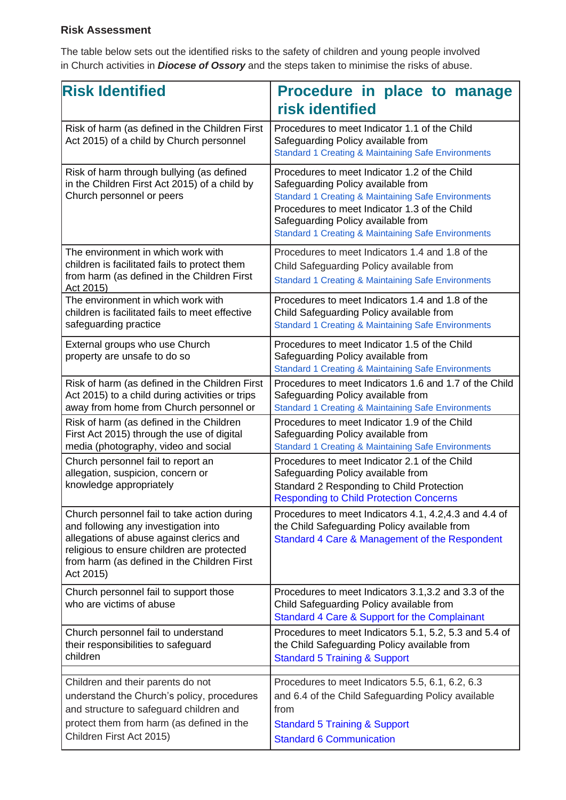# **Risk Assessment**

The table below sets out the identified risks to the safety of children and young people involved in Church activities in *Diocese of Ossory* and the steps taken to minimise the risks of abuse.

| <b>Risk Identified</b>                                                                                                                                                                                                                    | Procedure in place to manage                                                                                                                                                                                                                                                                                   |
|-------------------------------------------------------------------------------------------------------------------------------------------------------------------------------------------------------------------------------------------|----------------------------------------------------------------------------------------------------------------------------------------------------------------------------------------------------------------------------------------------------------------------------------------------------------------|
|                                                                                                                                                                                                                                           | risk identified                                                                                                                                                                                                                                                                                                |
| Risk of harm (as defined in the Children First<br>Act 2015) of a child by Church personnel                                                                                                                                                | Procedures to meet Indicator 1.1 of the Child<br>Safeguarding Policy available from<br><b>Standard 1 Creating &amp; Maintaining Safe Environments</b>                                                                                                                                                          |
| Risk of harm through bullying (as defined<br>in the Children First Act 2015) of a child by<br>Church personnel or peers                                                                                                                   | Procedures to meet Indicator 1.2 of the Child<br>Safeguarding Policy available from<br><b>Standard 1 Creating &amp; Maintaining Safe Environments</b><br>Procedures to meet Indicator 1.3 of the Child<br>Safeguarding Policy available from<br><b>Standard 1 Creating &amp; Maintaining Safe Environments</b> |
| The environment in which work with<br>children is facilitated fails to protect them<br>from harm (as defined in the Children First<br>Act 2015)                                                                                           | Procedures to meet Indicators 1.4 and 1.8 of the<br>Child Safeguarding Policy available from<br><b>Standard 1 Creating &amp; Maintaining Safe Environments</b>                                                                                                                                                 |
| The environment in which work with<br>children is facilitated fails to meet effective<br>safeguarding practice                                                                                                                            | Procedures to meet Indicators 1.4 and 1.8 of the<br>Child Safeguarding Policy available from<br><b>Standard 1 Creating &amp; Maintaining Safe Environments</b>                                                                                                                                                 |
| External groups who use Church<br>property are unsafe to do so                                                                                                                                                                            | Procedures to meet Indicator 1.5 of the Child<br>Safeguarding Policy available from<br><b>Standard 1 Creating &amp; Maintaining Safe Environments</b>                                                                                                                                                          |
| Risk of harm (as defined in the Children First<br>Act 2015) to a child during activities or trips<br>away from home from Church personnel or                                                                                              | Procedures to meet Indicators 1.6 and 1.7 of the Child<br>Safeguarding Policy available from<br><b>Standard 1 Creating &amp; Maintaining Safe Environments</b>                                                                                                                                                 |
| Risk of harm (as defined in the Children<br>First Act 2015) through the use of digital<br>media (photography, video and social                                                                                                            | Procedures to meet Indicator 1.9 of the Child<br>Safeguarding Policy available from<br><b>Standard 1 Creating &amp; Maintaining Safe Environments</b>                                                                                                                                                          |
| Church personnel fail to report an<br>allegation, suspicion, concern or<br>knowledge appropriately                                                                                                                                        | Procedures to meet Indicator 2.1 of the Child<br>Safeguarding Policy available from<br>Standard 2 Responding to Child Protection<br><b>Responding to Child Protection Concerns</b>                                                                                                                             |
| Church personnel fail to take action during<br>and following any investigation into<br>allegations of abuse against clerics and<br>religious to ensure children are protected<br>from harm (as defined in the Children First<br>Act 2015) | Procedures to meet Indicators 4.1, 4.2, 4.3 and 4.4 of<br>the Child Safeguarding Policy available from<br>Standard 4 Care & Management of the Respondent                                                                                                                                                       |
| Church personnel fail to support those<br>who are victims of abuse                                                                                                                                                                        | Procedures to meet Indicators 3.1, 3.2 and 3.3 of the<br>Child Safeguarding Policy available from<br>Standard 4 Care & Support for the Complainant                                                                                                                                                             |
| Church personnel fail to understand<br>their responsibilities to safeguard<br>children                                                                                                                                                    | Procedures to meet Indicators 5.1, 5.2, 5.3 and 5.4 of<br>the Child Safeguarding Policy available from<br><b>Standard 5 Training &amp; Support</b>                                                                                                                                                             |
| Children and their parents do not<br>understand the Church's policy, procedures<br>and structure to safeguard children and<br>protect them from harm (as defined in the<br>Children First Act 2015)                                       | Procedures to meet Indicators 5.5, 6.1, 6.2, 6.3<br>and 6.4 of the Child Safeguarding Policy available<br>from<br><b>Standard 5 Training &amp; Support</b><br><b>Standard 6 Communication</b>                                                                                                                  |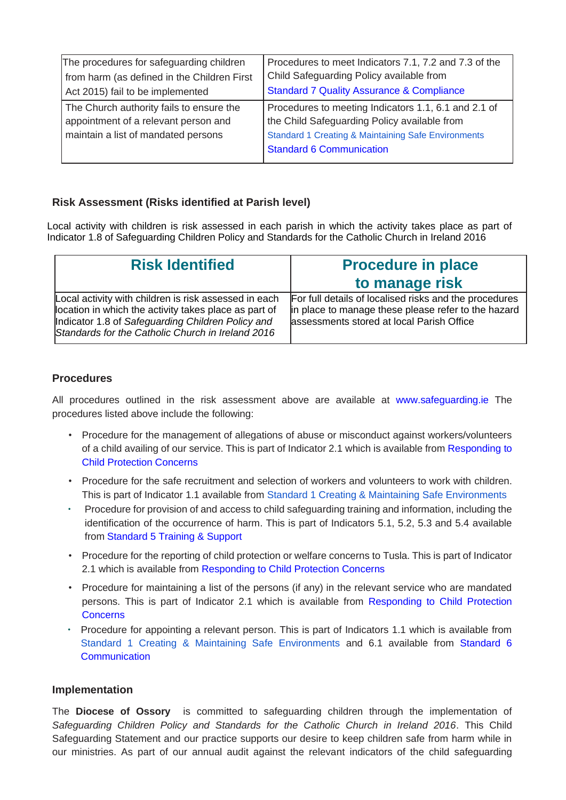| The procedures for safeguarding children                                                                                | Procedures to meet Indicators 7.1, 7.2 and 7.3 of the                                                                                                                                                     |
|-------------------------------------------------------------------------------------------------------------------------|-----------------------------------------------------------------------------------------------------------------------------------------------------------------------------------------------------------|
| from harm (as defined in the Children First                                                                             | Child Safeguarding Policy available from                                                                                                                                                                  |
| Act 2015) fail to be implemented                                                                                        | <b>Standard 7 Quality Assurance &amp; Compliance</b>                                                                                                                                                      |
| The Church authority fails to ensure the<br>appointment of a relevant person and<br>maintain a list of mandated persons | Procedures to meeting Indicators 1.1, 6.1 and 2.1 of<br>the Child Safeguarding Policy available from<br><b>Standard 1 Creating &amp; Maintaining Safe Environments</b><br><b>Standard 6 Communication</b> |

## **Risk Assessment (Risks identified at Parish level)**

Local activity with children is risk assessed in each parish in which the activity takes place as part of Indicator 1.8 of Safeguarding Children Policy and Standards for the Catholic Church in Ireland 2016

| <b>Risk Identified</b>                                                                                                                                                                                                   | <b>Procedure in place</b><br>to manage risk                                                                                                                |
|--------------------------------------------------------------------------------------------------------------------------------------------------------------------------------------------------------------------------|------------------------------------------------------------------------------------------------------------------------------------------------------------|
| Local activity with children is risk assessed in each<br>location in which the activity takes place as part of<br>Indicator 1.8 of Safeguarding Children Policy and<br>Standards for the Catholic Church in Ireland 2016 | For full details of localised risks and the procedures<br>in place to manage these please refer to the hazard<br>assessments stored at local Parish Office |

## **Procedures**

All procedures outlined in the risk assessment above are available at [www.safeguarding.ie](https://www.safeguarding.ie/) The procedures listed above include the following:

- Procedure for the management of allegations of abuse or misconduct against workers/volunteers of a child availing of our service. This is part of Indicator 2.1 which is available from [Responding to](http://www.safeguarding.ie/images/Pdfs/Standards/Standard%202.pdf)  [Child Protection Concerns](http://www.safeguarding.ie/images/Pdfs/Standards/Standard%202.pdf)
- Procedure for the safe recruitment and selection of workers and volunteers to work with children. This is part of Indicator 1.1 available from [Standard 1 Creating & Maintaining Safe Environments](http://www.safeguarding.ie/images/Pdfs/Standards/Standard%201.pdf)
- Procedure for provision of and access to child safeguarding training and information, including the identification of the occurrence of harm. This is part of Indicators 5.1, 5.2, 5.3 and 5.4 available from [Standard 5 Training & Support](http://www.safeguarding.ie/images/Pdfs/Standards/Standard%205.pdf)
- Procedure for the reporting of child protection or welfare concerns to Tusla. This is part of Indicator 2.1 which is available from [Responding to Child Protection Concerns](http://www.safeguarding.ie/images/Pdfs/Standards/Standard%202.pdf)
- Procedure for maintaining a list of the persons (if any) in the relevant service who are mandated persons. This is part of Indicator 2.1 which is available from Responding to [Child Protection](http://www.safeguarding.ie/images/Pdfs/Standards/Standard%202.pdf)  **[Concerns](http://www.safeguarding.ie/images/Pdfs/Standards/Standard%202.pdf)**
- Procedure for appointing a relevant person. This is part of Indicators 1.1 which is available from [Standard 1 Creating & Maintaining Safe Environments](http://www.safeguarding.ie/images/Pdfs/Standards/Standard%201.pdf) and 6.1 available from [Standard 6](http://www.safeguarding.ie/images/Pdfs/Standards/Standard%206.pdf)  **[Communication](http://www.safeguarding.ie/images/Pdfs/Standards/Standard%206.pdf)**

#### **Implementation**

The **Diocese of Ossory** is committed to safeguarding children through the implementation of *Safeguarding Children Policy and Standards for the Catholic Church in Ireland 2016*. This Child Safeguarding Statement and our practice supports our desire to keep children safe from harm while in our ministries. As part of our annual audit against the relevant indicators of the child safeguarding